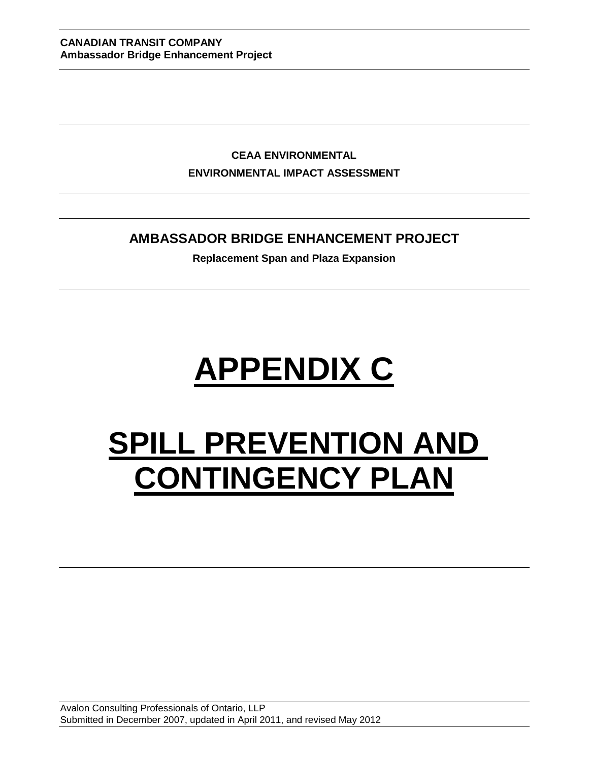**CEAA ENVIRONMENTAL ENVIRONMENTAL IMPACT ASSESSMENT**

# **AMBASSADOR BRIDGE ENHANCEMENT PROJECT**

**Replacement Span and Plaza Expansion**

# **APPENDIX C**

# **SPILL PREVENTION AND CONTINGENCY PLAN**

Avalon Consulting Professionals of Ontario, LLP Submitted in December 2007, updated in April 2011, and revised May 2012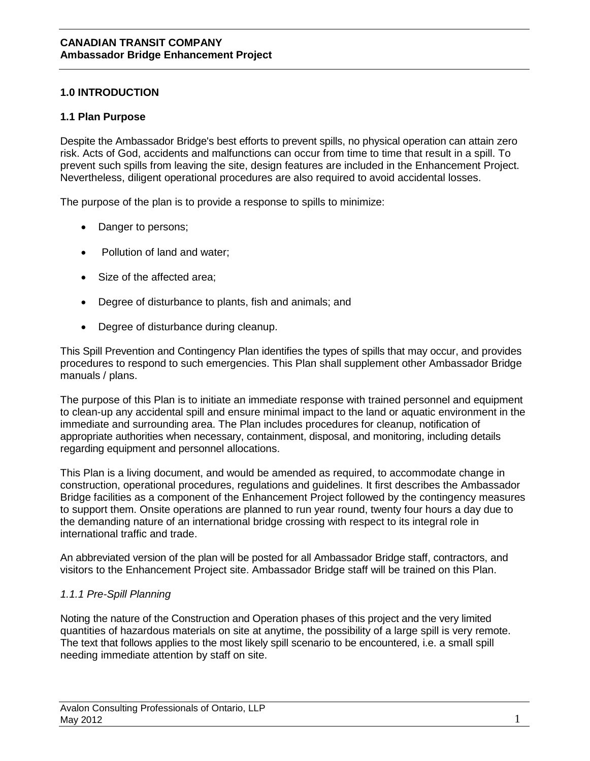# **1.0 INTRODUCTION**

#### **1.1 Plan Purpose**

Despite the Ambassador Bridge's best efforts to prevent spills, no physical operation can attain zero risk. Acts of God, accidents and malfunctions can occur from time to time that result in a spill. To prevent such spills from leaving the site, design features are included in the Enhancement Project. Nevertheless, diligent operational procedures are also required to avoid accidental losses.

The purpose of the plan is to provide a response to spills to minimize:

- Danger to persons;
- Pollution of land and water;
- Size of the affected area;
- Degree of disturbance to plants, fish and animals; and
- Degree of disturbance during cleanup.

This Spill Prevention and Contingency Plan identifies the types of spills that may occur, and provides procedures to respond to such emergencies. This Plan shall supplement other Ambassador Bridge manuals / plans.

The purpose of this Plan is to initiate an immediate response with trained personnel and equipment to clean-up any accidental spill and ensure minimal impact to the land or aquatic environment in the immediate and surrounding area. The Plan includes procedures for cleanup, notification of appropriate authorities when necessary, containment, disposal, and monitoring, including details regarding equipment and personnel allocations.

This Plan is a living document, and would be amended as required, to accommodate change in construction, operational procedures, regulations and guidelines. It first describes the Ambassador Bridge facilities as a component of the Enhancement Project followed by the contingency measures to support them. Onsite operations are planned to run year round, twenty four hours a day due to the demanding nature of an international bridge crossing with respect to its integral role in international traffic and trade.

An abbreviated version of the plan will be posted for all Ambassador Bridge staff, contractors, and visitors to the Enhancement Project site. Ambassador Bridge staff will be trained on this Plan.

# *1.1.1 Pre-Spill Planning*

Noting the nature of the Construction and Operation phases of this project and the very limited quantities of hazardous materials on site at anytime, the possibility of a large spill is very remote. The text that follows applies to the most likely spill scenario to be encountered, i.e. a small spill needing immediate attention by staff on site.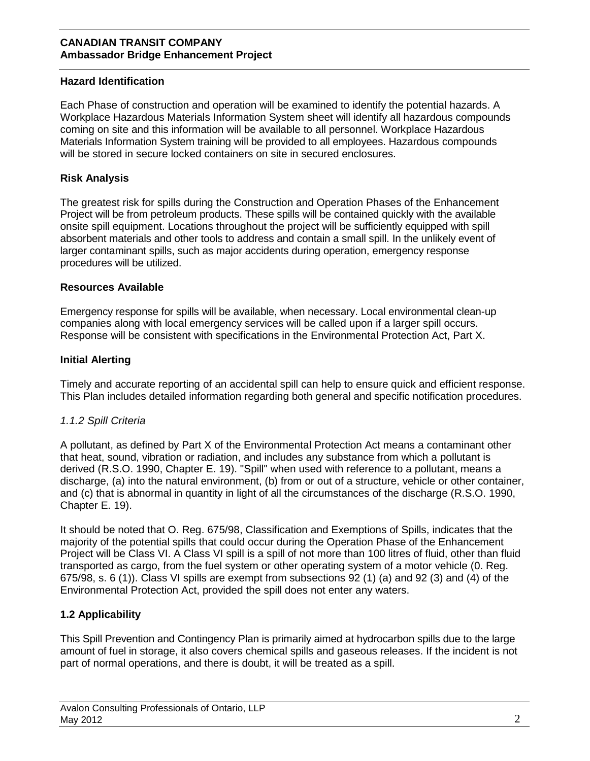# **Hazard Identification**

Each Phase of construction and operation will be examined to identify the potential hazards. A Workplace Hazardous Materials Information System sheet will identify all hazardous compounds coming on site and this information will be available to all personnel. Workplace Hazardous Materials Information System training will be provided to all employees. Hazardous compounds will be stored in secure locked containers on site in secured enclosures.

# **Risk Analysis**

The greatest risk for spills during the Construction and Operation Phases of the Enhancement Project will be from petroleum products. These spills will be contained quickly with the available onsite spill equipment. Locations throughout the project will be sufficiently equipped with spill absorbent materials and other tools to address and contain a small spill. In the unlikely event of larger contaminant spills, such as major accidents during operation, emergency response procedures will be utilized.

# **Resources Available**

Emergency response for spills will be available, when necessary. Local environmental clean-up companies along with local emergency services will be called upon if a larger spill occurs. Response will be consistent with specifications in the Environmental Protection Act, Part X.

# **Initial Alerting**

Timely and accurate reporting of an accidental spill can help to ensure quick and efficient response. This Plan includes detailed information regarding both general and specific notification procedures.

# *1.1.2 Spill Criteria*

A pollutant, as defined by Part X of the Environmental Protection Act means a contaminant other that heat, sound, vibration or radiation, and includes any substance from which a pollutant is derived (R.S.O. 1990, Chapter E. 19). "Spill" when used with reference to a pollutant, means a discharge, (a) into the natural environment, (b) from or out of a structure, vehicle or other container, and (c) that is abnormal in quantity in light of all the circumstances of the discharge (R.S.O. 1990, Chapter E. 19).

It should be noted that O. Reg. 675/98, Classification and Exemptions of Spills, indicates that the majority of the potential spills that could occur during the Operation Phase of the Enhancement Project will be Class VI. A Class VI spill is a spill of not more than 100 litres of fluid, other than fluid transported as cargo, from the fuel system or other operating system of a motor vehicle (0. Reg. 675/98, s. 6 (1)). Class VI spills are exempt from subsections 92 (1) (a) and 92 (3) and (4) of the Environmental Protection Act, provided the spill does not enter any waters.

# **1.2 Applicability**

This Spill Prevention and Contingency Plan is primarily aimed at hydrocarbon spills due to the large amount of fuel in storage, it also covers chemical spills and gaseous releases. If the incident is not part of normal operations, and there is doubt, it will be treated as a spill.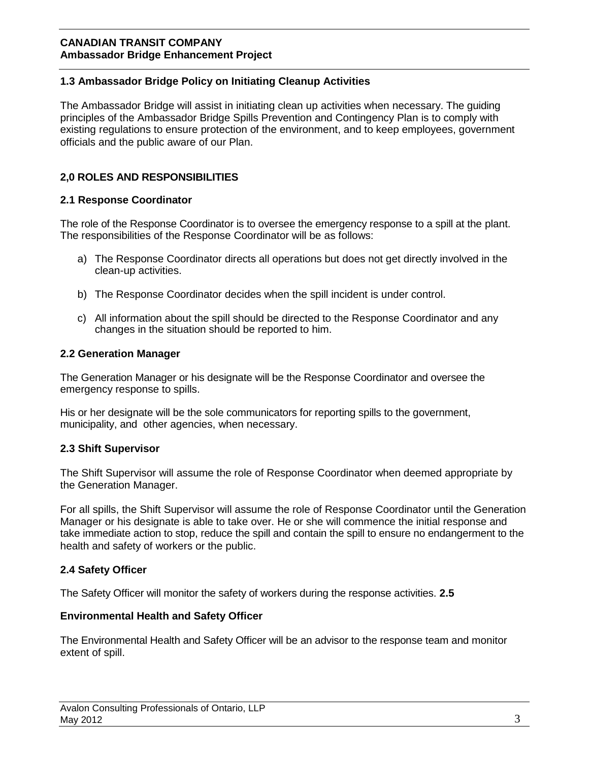# **1.3 Ambassador Bridge Policy on Initiating Cleanup Activities**

The Ambassador Bridge will assist in initiating clean up activities when necessary. The guiding principles of the Ambassador Bridge Spills Prevention and Contingency Plan is to comply with existing regulations to ensure protection of the environment, and to keep employees, government officials and the public aware of our Plan.

# **2,0 ROLES AND RESPONSIBILITIES**

#### **2.1 Response Coordinator**

The role of the Response Coordinator is to oversee the emergency response to a spill at the plant. The responsibilities of the Response Coordinator will be as follows:

- a) The Response Coordinator directs all operations but does not get directly involved in the clean-up activities.
- b) The Response Coordinator decides when the spill incident is under control.
- c) All information about the spill should be directed to the Response Coordinator and any changes in the situation should be reported to him.

#### **2.2 Generation Manager**

The Generation Manager or his designate will be the Response Coordinator and oversee the emergency response to spills.

His or her designate will be the sole communicators for reporting spills to the government, municipality, and other agencies, when necessary.

# **2.3 Shift Supervisor**

The Shift Supervisor will assume the role of Response Coordinator when deemed appropriate by the Generation Manager.

For all spills, the Shift Supervisor will assume the role of Response Coordinator until the Generation Manager or his designate is able to take over. He or she will commence the initial response and take immediate action to stop, reduce the spill and contain the spill to ensure no endangerment to the health and safety of workers or the public.

# **2.4 Safety Officer**

The Safety Officer will monitor the safety of workers during the response activities. **2.5** 

#### **Environmental Health and Safety Officer**

The Environmental Health and Safety Officer will be an advisor to the response team and monitor extent of spill.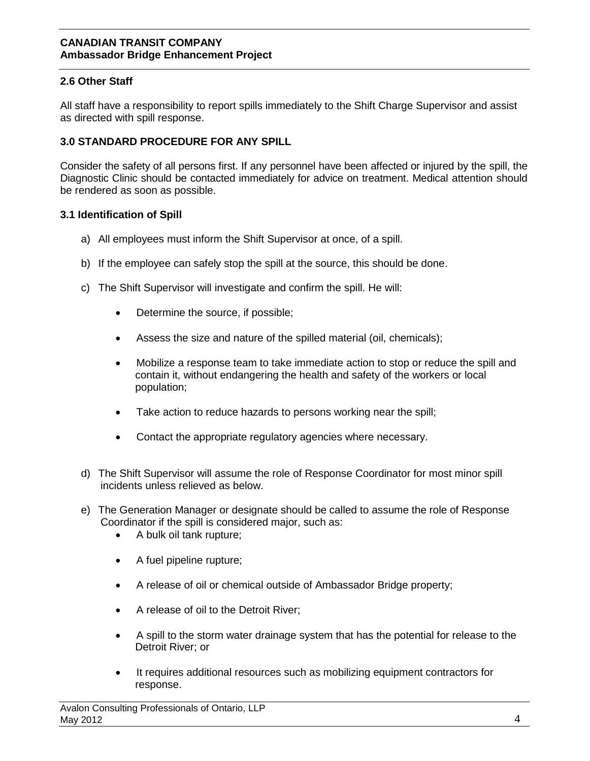# **2.6 Other Staff**

All staff have a responsibility to report spills immediately to the Shift Charge Supervisor and assist as directed with spill response.

# **3.0 STANDARD PROCEDURE FOR ANY SPILL**

Consider the safety of all persons first. If any personnel have been affected or injured by the spill, the Diagnostic Clinic should be contacted immediately for advice on treatment. Medical attention should be rendered as soon as possible.

#### **3.1 Identification of Spill**

- a) All employees must inform the Shift Supervisor at once, of a spill.
- b) If the employee can safely stop the spill at the source, this should be done.
- c) The Shift Supervisor will investigate and confirm the spill. He will:
	- Determine the source, if possible;
	- Assess the size and nature of the spilled material (oil, chemicals);
	- Mobilize a response team to take immediate action to stop or reduce the spill and contain it, without endangering the health and safety of the workers or local population;
	- Take action to reduce hazards to persons working near the spill;
	- Contact the appropriate regulatory agencies where necessary.
- d) The Shift Supervisor will assume the role of Response Coordinator for most minor spill incidents unless relieved as below.
- e) The Generation Manager or designate should be called to assume the role of Response Coordinator if the spill is considered major, such as:
	- A bulk oil tank rupture;
	- A fuel pipeline rupture;
	- A release of oil or chemical outside of Ambassador Bridge property;
	- A release of oil to the Detroit River;
	- A spill to the storm water drainage system that has the potential for release to the Detroit River; or
	- It requires additional resources such as mobilizing equipment contractors for response.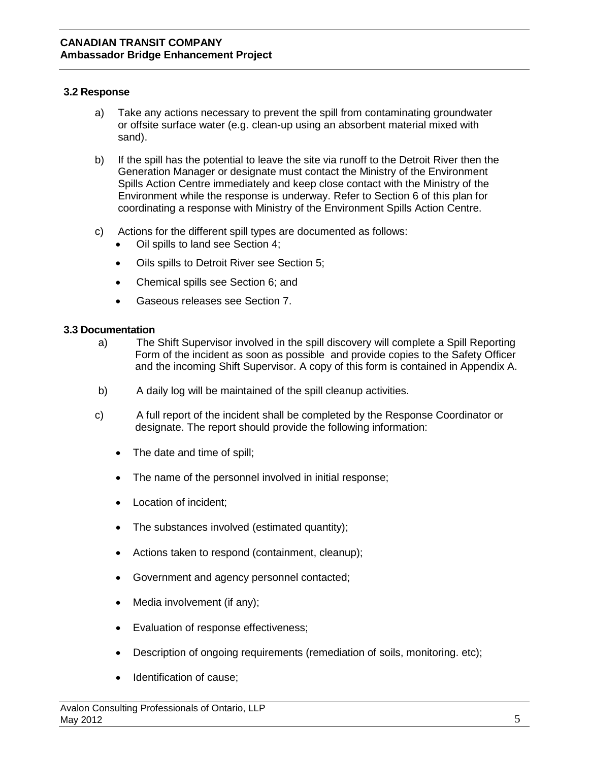#### **3.2 Response**

- a) Take any actions necessary to prevent the spill from contaminating groundwater or offsite surface water (e.g. clean-up using an absorbent material mixed with sand).
- b) If the spill has the potential to leave the site via runoff to the Detroit River then the Generation Manager or designate must contact the Ministry of the Environment Spills Action Centre immediately and keep close contact with the Ministry of the Environment while the response is underway. Refer to Section 6 of this plan for coordinating a response with Ministry of the Environment Spills Action Centre.
- c) Actions for the different spill types are documented as follows:
	- Oil spills to land see Section 4;
	- Oils spills to Detroit River see Section 5;
	- Chemical spills see Section 6; and
	- Gaseous releases see Section 7.

#### **3.3 Documentation**

- a) The Shift Supervisor involved in the spill discovery will complete a Spill Reporting Form of the incident as soon as possible and provide copies to the Safety Officer and the incoming Shift Supervisor. A copy of this form is contained in Appendix A.
- b) A daily log will be maintained of the spill cleanup activities.
- c) A full report of the incident shall be completed by the Response Coordinator or designate. The report should provide the following information:
	- The date and time of spill;
	- The name of the personnel involved in initial response;
	- Location of incident;
	- The substances involved (estimated quantity);
	- Actions taken to respond (containment, cleanup);
	- Government and agency personnel contacted;
	- Media involvement (if any);
	- Evaluation of response effectiveness;
	- Description of ongoing requirements (remediation of soils, monitoring. etc);
	- Identification of cause;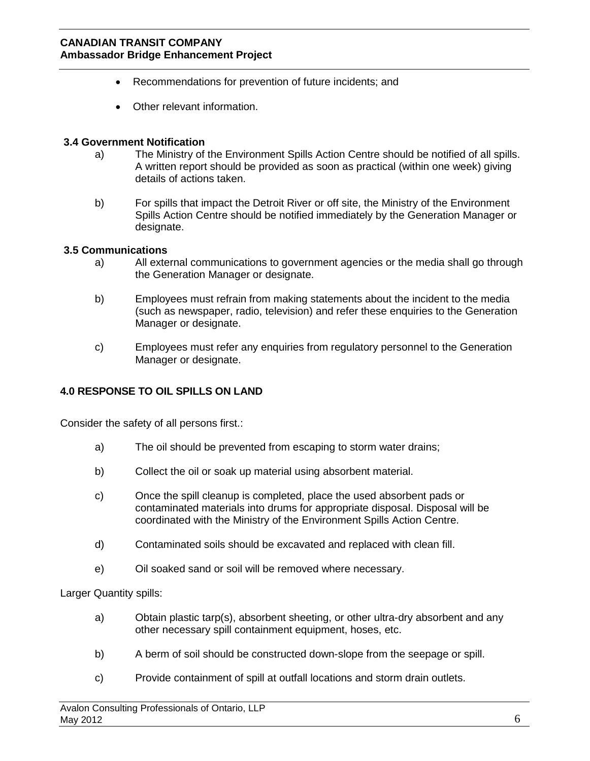- Recommendations for prevention of future incidents; and
- Other relevant information.

#### **3.4 Government Notification**

- a) The Ministry of the Environment Spills Action Centre should be notified of all spills. A written report should be provided as soon as practical (within one week) giving details of actions taken.
- b) For spills that impact the Detroit River or off site, the Ministry of the Environment Spills Action Centre should be notified immediately by the Generation Manager or designate.

#### **3.5 Communications**

- a) All external communications to government agencies or the media shall go through the Generation Manager or designate.
- b) Employees must refrain from making statements about the incident to the media (such as newspaper, radio, television) and refer these enquiries to the Generation Manager or designate.
- c) Employees must refer any enquiries from regulatory personnel to the Generation Manager or designate.

# **4.0 RESPONSE TO OIL SPILLS ON LAND**

Consider the safety of all persons first.:

- a) The oil should be prevented from escaping to storm water drains;
- b) Collect the oil or soak up material using absorbent material.
- c) Once the spill cleanup is completed, place the used absorbent pads or contaminated materials into drums for appropriate disposal. Disposal will be coordinated with the Ministry of the Environment Spills Action Centre.
- d) Contaminated soils should be excavated and replaced with clean fill.
- e) Oil soaked sand or soil will be removed where necessary.

Larger Quantity spills:

- a) Obtain plastic tarp(s), absorbent sheeting, or other ultra-dry absorbent and any other necessary spill containment equipment, hoses, etc.
- b) A berm of soil should be constructed down-slope from the seepage or spill.
- c) Provide containment of spill at outfall locations and storm drain outlets.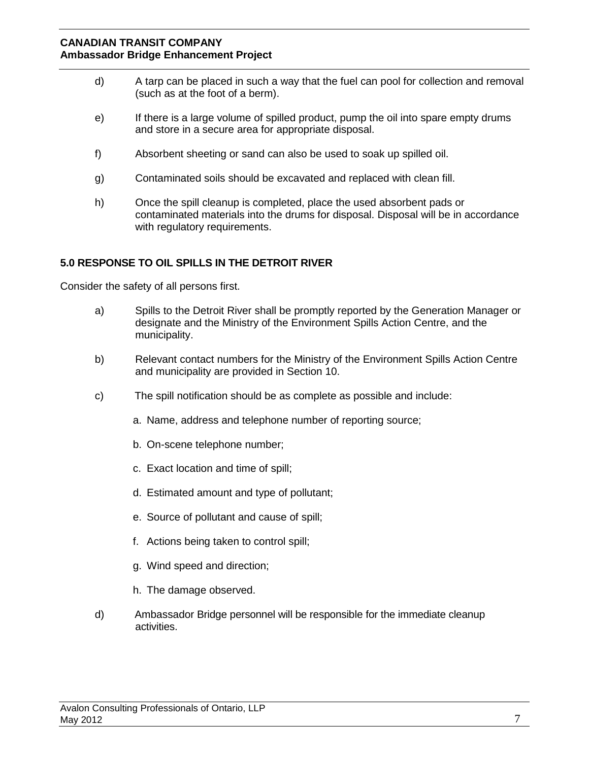- d) A tarp can be placed in such a way that the fuel can pool for collection and removal (such as at the foot of a berm).
- e) If there is a large volume of spilled product, pump the oil into spare empty drums and store in a secure area for appropriate disposal.
- f) Absorbent sheeting or sand can also be used to soak up spilled oil.
- g) Contaminated soils should be excavated and replaced with clean fill.
- h) Once the spill cleanup is completed, place the used absorbent pads or contaminated materials into the drums for disposal. Disposal will be in accordance with regulatory requirements.

# **5.0 RESPONSE TO OIL SPILLS IN THE DETROIT RIVER**

Consider the safety of all persons first.

- a) Spills to the Detroit River shall be promptly reported by the Generation Manager or designate and the Ministry of the Environment Spills Action Centre, and the municipality.
- b) Relevant contact numbers for the Ministry of the Environment Spills Action Centre and municipality are provided in Section 10.
- c) The spill notification should be as complete as possible and include:
	- a. Name, address and telephone number of reporting source;
	- b. On-scene telephone number;
	- c. Exact location and time of spill;
	- d. Estimated amount and type of pollutant;
	- e. Source of pollutant and cause of spill;
	- f. Actions being taken to control spill;
	- g. Wind speed and direction;
	- h. The damage observed.
- d) Ambassador Bridge personnel will be responsible for the immediate cleanup activities.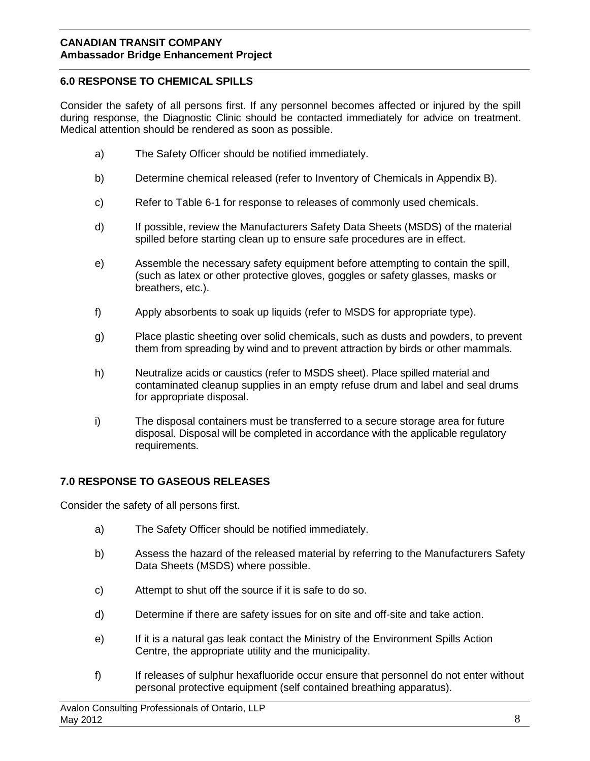# **6.0 RESPONSE TO CHEMICAL SPILLS**

Consider the safety of all persons first. If any personnel becomes affected or injured by the spill during response, the Diagnostic Clinic should be contacted immediately for advice on treatment. Medical attention should be rendered as soon as possible.

- a) The Safety Officer should be notified immediately.
- b) Determine chemical released (refer to Inventory of Chemicals in Appendix B).
- c) Refer to Table 6-1 for response to releases of commonly used chemicals.
- d) If possible, review the Manufacturers Safety Data Sheets (MSDS) of the material spilled before starting clean up to ensure safe procedures are in effect.
- e) Assemble the necessary safety equipment before attempting to contain the spill, (such as latex or other protective gloves, goggles or safety glasses, masks or breathers, etc.).
- f) Apply absorbents to soak up liquids (refer to MSDS for appropriate type).
- g) Place plastic sheeting over solid chemicals, such as dusts and powders, to prevent them from spreading by wind and to prevent attraction by birds or other mammals.
- h) Neutralize acids or caustics (refer to MSDS sheet). Place spilled material and contaminated cleanup supplies in an empty refuse drum and label and seal drums for appropriate disposal.
- i) The disposal containers must be transferred to a secure storage area for future disposal. Disposal will be completed in accordance with the applicable regulatory requirements.

# **7.0 RESPONSE TO GASEOUS RELEASES**

Consider the safety of all persons first.

- a) The Safety Officer should be notified immediately.
- b) Assess the hazard of the released material by referring to the Manufacturers Safety Data Sheets (MSDS) where possible.
- c) Attempt to shut off the source if it is safe to do so.
- d) Determine if there are safety issues for on site and off-site and take action.
- e) If it is a natural gas leak contact the Ministry of the Environment Spills Action Centre, the appropriate utility and the municipality.
- f) If releases of sulphur hexafluoride occur ensure that personnel do not enter without personal protective equipment (self contained breathing apparatus).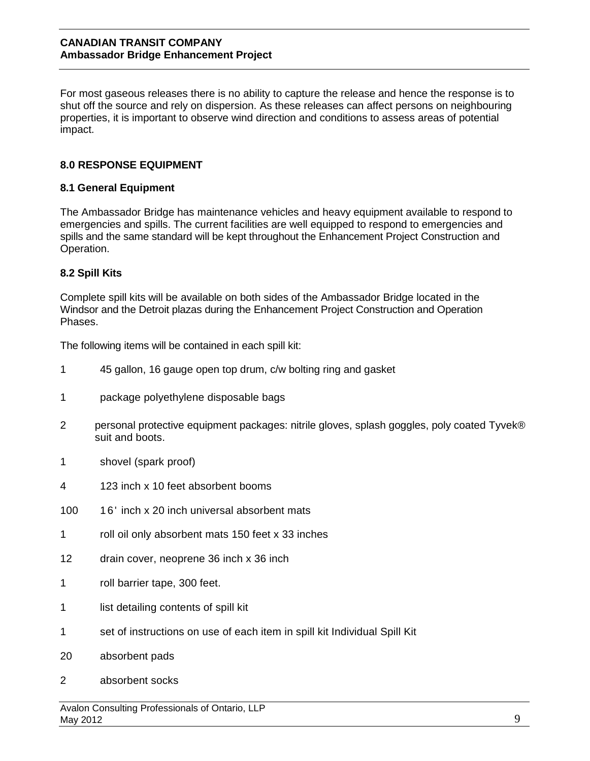For most gaseous releases there is no ability to capture the release and hence the response is to shut off the source and rely on dispersion. As these releases can affect persons on neighbouring properties, it is important to observe wind direction and conditions to assess areas of potential impact.

# **8.0 RESPONSE EQUIPMENT**

#### **8.1 General Equipment**

The Ambassador Bridge has maintenance vehicles and heavy equipment available to respond to emergencies and spills. The current facilities are well equipped to respond to emergencies and spills and the same standard will be kept throughout the Enhancement Project Construction and Operation.

# **8.2 Spill Kits**

Complete spill kits will be available on both sides of the Ambassador Bridge located in the Windsor and the Detroit plazas during the Enhancement Project Construction and Operation Phases.

The following items will be contained in each spill kit:

- 1 45 gallon, 16 gauge open top drum, c/w bolting ring and gasket
- 1 package polyethylene disposable bags
- 2 personal protective equipment packages: nitrile gloves, splash goggles, poly coated Tyvek® suit and boots.
- 1 shovel (spark proof)
- 4 123 inch x 10 feet absorbent booms
- 100 16' inch x 20 inch universal absorbent mats
- 1 roll oil only absorbent mats 150 feet x 33 inches
- 12 drain cover, neoprene 36 inch x 36 inch
- 1 roll barrier tape, 300 feet.
- 1 list detailing contents of spill kit
- 1 set of instructions on use of each item in spill kit Individual Spill Kit
- 20 absorbent pads
- 2 absorbent socks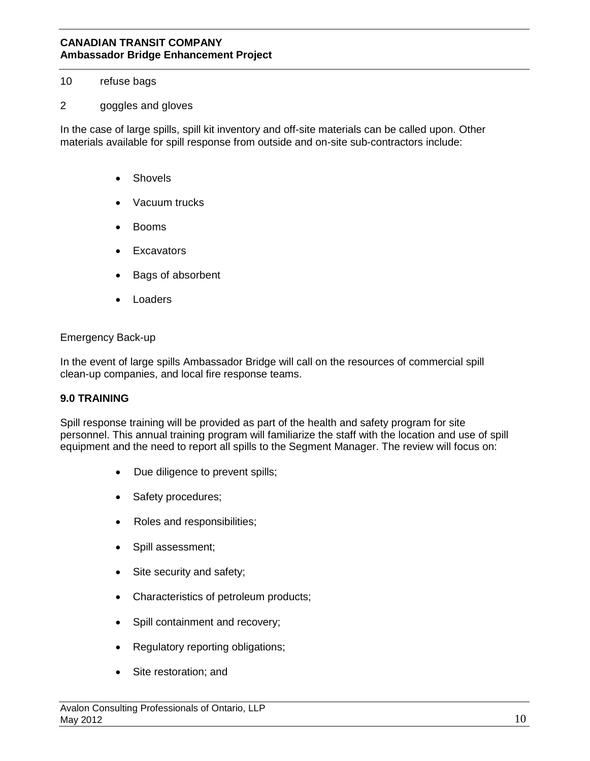#### 10 refuse bags

### 2 goggles and gloves

In the case of large spills, spill kit inventory and off-site materials can be called upon. Other materials available for spill response from outside and on-site sub-contractors include:

- **Shovels**
- Vacuum trucks
- Booms
- **Excavators**
- Bags of absorbent
- **Loaders**

#### Emergency Back-up

In the event of large spills Ambassador Bridge will call on the resources of commercial spill clean-up companies, and local fire response teams.

# **9.0 TRAINING**

Spill response training will be provided as part of the health and safety program for site personnel. This annual training program will familiarize the staff with the location and use of spill equipment and the need to report all spills to the Segment Manager. The review will focus on:

- Due diligence to prevent spills;
- Safety procedures;
- Roles and responsibilities;
- Spill assessment;
- Site security and safety;
- Characteristics of petroleum products;
- Spill containment and recovery;
- Regulatory reporting obligations;
- Site restoration; and